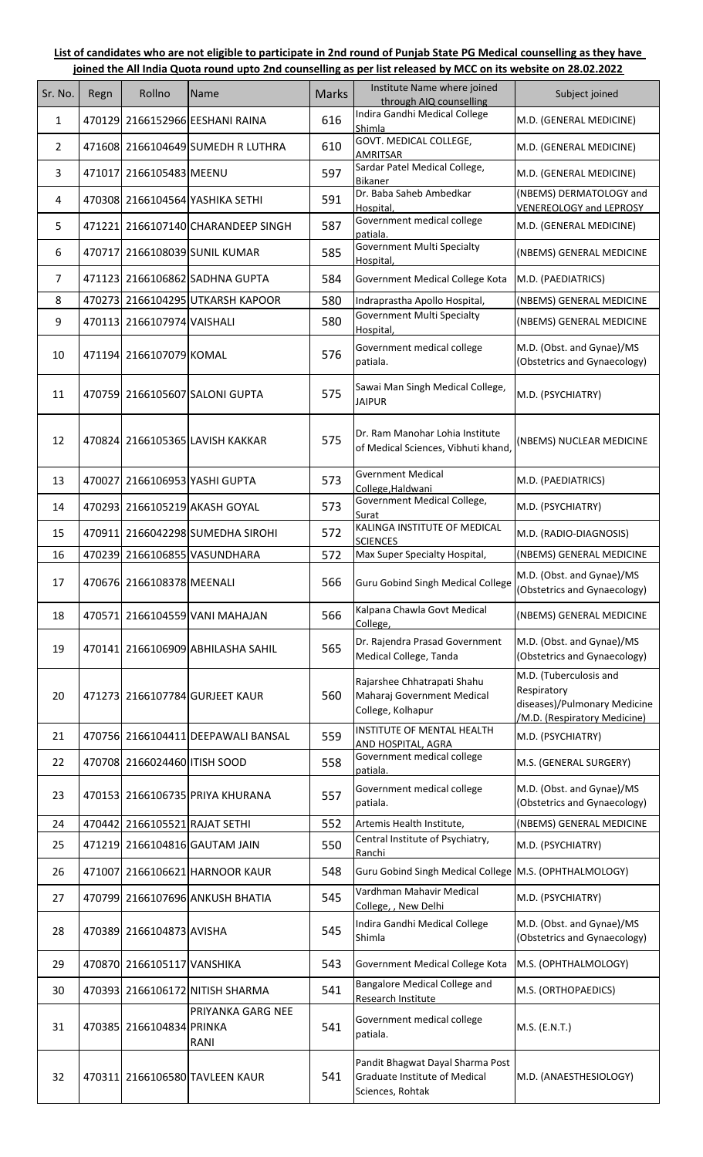## **List of candidates who are not eligible to participate in 2nd round of Punjab State PG Medical counselling as they have joined the All India Quota round upto 2nd counselling as per list released by MCC on its website on 28.02.2022**

| Sr. No. | Regn   | Rollno                        | Name                               | <b>Marks</b> | Institute Name where joined<br>through AIQ counselling                                | Subject joined                                                                                        |
|---------|--------|-------------------------------|------------------------------------|--------------|---------------------------------------------------------------------------------------|-------------------------------------------------------------------------------------------------------|
| 1       |        |                               | 470129 2166152966 EESHANI RAINA    | 616          | Indira Gandhi Medical College<br>Shimla                                               | M.D. (GENERAL MEDICINE)                                                                               |
| 2       |        |                               | 471608 2166104649 SUMEDH R LUTHRA  | 610          | GOVT. MEDICAL COLLEGE,<br>AMRITSAR                                                    | M.D. (GENERAL MEDICINE)                                                                               |
| 3       |        | 471017 2166105483 MEENU       |                                    | 597          | Sardar Patel Medical College,<br>Bikaner                                              | M.D. (GENERAL MEDICINE)                                                                               |
| 4       |        |                               | 470308 2166104564 YASHIKA SETHI    | 591          | Dr. Baba Saheb Ambedkar<br>Hospital,                                                  | (NBEMS) DERMATOLOGY and<br><b>VENEREOLOGY and LEPROSY</b>                                             |
| 5       |        |                               | 471221 2166107140 CHARANDEEP SINGH | 587          | Government medical college<br>patiala.                                                | M.D. (GENERAL MEDICINE)                                                                               |
| 6       |        |                               | 470717 2166108039 SUNIL KUMAR      | 585          | <b>Government Multi Specialty</b><br>Hospital,                                        | (NBEMS) GENERAL MEDICINE                                                                              |
| 7       |        |                               | 471123 2166106862 SADHNA GUPTA     | 584          | Government Medical College Kota                                                       | M.D. (PAEDIATRICS)                                                                                    |
| 8       |        |                               | 470273 2166104295 UTKARSH KAPOOR   | 580          | Indraprastha Apollo Hospital,                                                         | (NBEMS) GENERAL MEDICINE                                                                              |
| 9       |        | 470113 2166107974 VAISHALI    |                                    | 580          | <b>Government Multi Specialty</b><br>Hospital,                                        | (NBEMS) GENERAL MEDICINE                                                                              |
| 10      |        | 471194 2166107079 KOMAL       |                                    | 576          | Government medical college<br>patiala.                                                | M.D. (Obst. and Gynae)/MS<br>(Obstetrics and Gynaecology)                                             |
| 11      |        |                               | 470759 2166105607 SALONI GUPTA     | 575          | Sawai Man Singh Medical College,<br><b>JAIPUR</b>                                     | M.D. (PSYCHIATRY)                                                                                     |
| 12      |        |                               | 470824 2166105365 LAVISH KAKKAR    | 575          | Dr. Ram Manohar Lohia Institute<br>of Medical Sciences, Vibhuti khand,                | (NBEMS) NUCLEAR MEDICINE                                                                              |
| 13      |        |                               | 470027 2166106953 YASHI GUPTA      | 573          | <b>Gvernment Medical</b><br>College, Haldwani                                         | M.D. (PAEDIATRICS)                                                                                    |
| 14      |        |                               | 470293 2166105219 AKASH GOYAL      | 573          | Government Medical College,<br>Surat                                                  | M.D. (PSYCHIATRY)                                                                                     |
| 15      | 470911 |                               | 2166042298 SUMEDHA SIROHI          | 572          | KALINGA INSTITUTE OF MEDICAL<br><b>SCIENCES</b>                                       | M.D. (RADIO-DIAGNOSIS)                                                                                |
| 16      |        |                               | 470239 2166106855 VASUNDHARA       | 572          | Max Super Specialty Hospital,                                                         | (NBEMS) GENERAL MEDICINE                                                                              |
| 17      |        | 470676 2166108378 MEENALI     |                                    | 566          | <b>Guru Gobind Singh Medical College</b>                                              | M.D. (Obst. and Gynae)/MS<br>(Obstetrics and Gynaecology)                                             |
| 18      |        |                               | 470571 2166104559 VANI MAHAJAN     | 566          | Kalpana Chawla Govt Medical<br>College,                                               | (NBEMS) GENERAL MEDICINE                                                                              |
| 19      |        |                               | 470141 2166106909 ABHILASHA SAHIL  | 565          | Dr. Rajendra Prasad Government<br>Medical College, Tanda                              | M.D. (Obst. and Gynae)/MS<br>(Obstetrics and Gynaecology)                                             |
| 20      |        |                               | 471273 2166107784 GURJEET KAUR     | 560          | Rajarshee Chhatrapati Shahu<br>Maharaj Government Medical<br>College, Kolhapur        | M.D. (Tuberculosis and<br>Respiratory<br>diseases)/Pulmonary Medicine<br>/M.D. (Respiratory Medicine) |
| 21      |        |                               | 470756 2166104411 DEEPAWALI BANSAL | 559          | INSTITUTE OF MENTAL HEALTH<br><u>AND HOSPITAL, AGRA</u>                               | M.D. (PSYCHIATRY)                                                                                     |
| 22      |        | 470708 2166024460 ITISH SOOD  |                                    | 558          | Government medical college<br>patiala.                                                | M.S. (GENERAL SURGERY)                                                                                |
| 23      |        |                               | 470153 2166106735 PRIYA KHURANA    | 557          | Government medical college<br>patiala.                                                | M.D. (Obst. and Gynae)/MS<br>(Obstetrics and Gynaecology)                                             |
| 24      |        | 470442 2166105521 RAJAT SETHI |                                    | 552          | Artemis Health Institute,                                                             | (NBEMS) GENERAL MEDICINE                                                                              |
| 25      |        |                               | 471219 2166104816 GAUTAM JAIN      | 550          | Central Institute of Psychiatry,<br>Ranchi                                            | M.D. (PSYCHIATRY)                                                                                     |
| 26      |        |                               | 471007 2166106621 HARNOOR KAUR     | 548          | Guru Gobind Singh Medical College M.S. (OPHTHALMOLOGY)                                |                                                                                                       |
| 27      |        |                               | 470799 2166107696 ANKUSH BHATIA    | 545          | Vardhman Mahavir Medical<br>College, , New Delhi                                      | M.D. (PSYCHIATRY)                                                                                     |
| 28      |        | 470389 2166104873 AVISHA      |                                    | 545          | Indira Gandhi Medical College<br>Shimla                                               | M.D. (Obst. and Gynae)/MS<br>(Obstetrics and Gynaecology)                                             |
| 29      |        | 470870 2166105117 VANSHIKA    |                                    | 543          | Government Medical College Kota                                                       | M.S. (OPHTHALMOLOGY)                                                                                  |
| 30      |        |                               | 470393 2166106172 NITISH SHARMA    | 541          | Bangalore Medical College and<br>Research Institute                                   | M.S. (ORTHOPAEDICS)                                                                                   |
| 31      |        | 470385 2166104834 PRINKA      | PRIYANKA GARG NEE<br>RANI          | 541          | Government medical college<br>patiala.                                                | M.S. (E.N.T.)                                                                                         |
| 32      |        |                               | 470311 2166106580 TAVLEEN KAUR     | 541          | Pandit Bhagwat Dayal Sharma Post<br>Graduate Institute of Medical<br>Sciences, Rohtak | M.D. (ANAESTHESIOLOGY)                                                                                |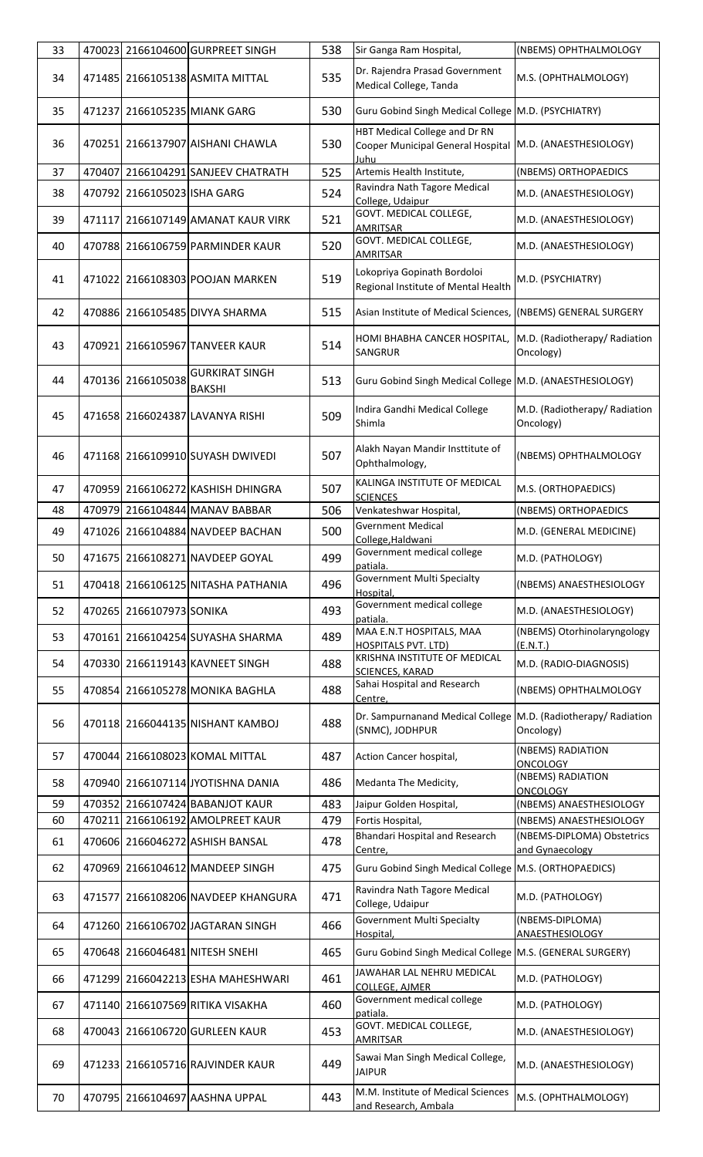| 33 |                             | 470023 2166104600 GURPREET SINGH       | 538 | Sir Ganga Ram Hospital,                                                           | (NBEMS) OPHTHALMOLOGY                         |
|----|-----------------------------|----------------------------------------|-----|-----------------------------------------------------------------------------------|-----------------------------------------------|
| 34 |                             | 471485 2166105138 ASMITA MITTAL        | 535 | Dr. Rajendra Prasad Government<br>Medical College, Tanda                          | M.S. (OPHTHALMOLOGY)                          |
| 35 |                             | 471237 2166105235 MIANK GARG           | 530 | Guru Gobind Singh Medical College M.D. (PSYCHIATRY)                               |                                               |
| 36 |                             | 470251 2166137907 AISHANI CHAWLA       | 530 | HBT Medical College and Dr RN<br>Cooper Municipal General Hospital<br>Juhu        | M.D. (ANAESTHESIOLOGY)                        |
| 37 |                             | 470407 2166104291 SANJEEV CHATRATH     | 525 | Artemis Health Institute,                                                         | (NBEMS) ORTHOPAEDICS                          |
| 38 | 470792 2166105023 ISHA GARG |                                        | 524 | Ravindra Nath Tagore Medical<br>College, Udaipur                                  | M.D. (ANAESTHESIOLOGY)                        |
| 39 |                             | 471117 2166107149 AMANAT KAUR VIRK     | 521 | GOVT. MEDICAL COLLEGE,<br>AMRITSAR                                                | M.D. (ANAESTHESIOLOGY)                        |
| 40 |                             | 470788 2166106759 PARMINDER KAUR       | 520 | GOVT. MEDICAL COLLEGE,<br><b>AMRITSAR</b>                                         | M.D. (ANAESTHESIOLOGY)                        |
| 41 |                             | 471022 2166108303 POOJAN MARKEN        | 519 | Lokopriya Gopinath Bordoloi<br>Regional Institute of Mental Health                | M.D. (PSYCHIATRY)                             |
| 42 |                             | 470886 2166105485 DIVYA SHARMA         | 515 | Asian Institute of Medical Sciences, (NBEMS) GENERAL SURGERY                      |                                               |
| 43 |                             | 470921 2166105967 TANVEER KAUR         | 514 | HOMI BHABHA CANCER HOSPITAL,<br>SANGRUR                                           | M.D. (Radiotherapy/ Radiation<br>Oncology)    |
| 44 | 470136 2166105038           | <b>GURKIRAT SINGH</b><br><b>BAKSHI</b> | 513 | Guru Gobind Singh Medical College M.D. (ANAESTHESIOLOGY)                          |                                               |
| 45 |                             | 471658 2166024387 LAVANYA RISHI        | 509 | Indira Gandhi Medical College<br>Shimla                                           | M.D. (Radiotherapy/ Radiation<br>Oncology)    |
| 46 |                             | 471168 2166109910 SUYASH DWIVEDI       | 507 | Alakh Nayan Mandir Insttitute of<br>Ophthalmology,                                | (NBEMS) OPHTHALMOLOGY                         |
| 47 |                             | 470959 2166106272 KASHISH DHINGRA      | 507 | KALINGA INSTITUTE OF MEDICAL<br><b>SCIENCES</b>                                   | M.S. (ORTHOPAEDICS)                           |
| 48 |                             | 470979 2166104844 MANAV BABBAR         | 506 | Venkateshwar Hospital,                                                            | (NBEMS) ORTHOPAEDICS                          |
| 49 |                             | 471026 2166104884 NAVDEEP BACHAN       | 500 | <b>Gvernment Medical</b><br>College, Haldwani                                     | M.D. (GENERAL MEDICINE)                       |
| 50 |                             | 471675 2166108271 NAVDEEP GOYAL        | 499 | Government medical college<br>patiala.                                            | M.D. (PATHOLOGY)                              |
| 51 |                             | 470418 2166106125 NITASHA PATHANIA     | 496 | Government Multi Specialty<br>Hospital,                                           | (NBEMS) ANAESTHESIOLOGY                       |
| 52 | 470265 2166107973 SONIKA    |                                        | 493 | Government medical college<br>patiala.                                            | M.D. (ANAESTHESIOLOGY)                        |
| 53 |                             | 470161 2166104254 SUYASHA SHARMA       | 489 | MAA E.N.T HOSPITALS, MAA<br><b>HOSPITALS PVT. LTD)</b>                            | (NBEMS) Otorhinolaryngology<br>(E.N.T.)       |
| 54 |                             | 470330 2166119143 KAVNEET SINGH        | 488 | KRISHNA INSTITUTE OF MEDICAL<br>SCIENCES, KARAD                                   | M.D. (RADIO-DIAGNOSIS)                        |
| 55 |                             | 470854 2166105278 MONIKA BAGHLA        | 488 | Sahai Hospital and Research<br>Centre,                                            | (NBEMS) OPHTHALMOLOGY                         |
| 56 |                             | 470118 2166044135 NISHANT KAMBOJ       | 488 | Dr. Sampurnanand Medical College M.D. (Radiotherapy/ Radiation<br>(SNMC), JODHPUR | Oncology)                                     |
| 57 |                             | 470044 2166108023 KOMAL MITTAL         | 487 | Action Cancer hospital,                                                           | (NBEMS) RADIATION<br><b>ONCOLOGY</b>          |
| 58 |                             | 470940 2166107114 JYOTISHNA DANIA      | 486 | Medanta The Medicity,                                                             | (NBEMS) RADIATION<br><b>ONCOLOGY</b>          |
| 59 |                             | 470352 2166107424 BABANJOT KAUR        | 483 | Jaipur Golden Hospital,                                                           | (NBEMS) ANAESTHESIOLOGY                       |
| 60 |                             | 470211 2166106192 AMOLPREET KAUR       | 479 | Fortis Hospital,                                                                  | (NBEMS) ANAESTHESIOLOGY                       |
| 61 |                             | 470606 2166046272 ASHISH BANSAL        | 478 | <b>Bhandari Hospital and Research</b><br>Centre,                                  | (NBEMS-DIPLOMA) Obstetrics<br>and Gynaecology |
| 62 |                             | 470969 2166104612 MANDEEP SINGH        | 475 | Guru Gobind Singh Medical College   M.S. (ORTHOPAEDICS)                           |                                               |
| 63 |                             | 471577 2166108206 NAVDEEP KHANGURA     | 471 | Ravindra Nath Tagore Medical<br>College, Udaipur                                  | M.D. (PATHOLOGY)                              |
| 64 |                             | 471260 2166106702 JAGTARAN SINGH       | 466 | <b>Government Multi Specialty</b><br>Hospital,                                    | (NBEMS-DIPLOMA)<br>ANAESTHESIOLOGY            |
| 65 |                             | 470648 2166046481 NITESH SNEHI         | 465 | Guru Gobind Singh Medical College M.S. (GENERAL SURGERY)                          |                                               |
| 66 |                             | 471299 2166042213 ESHA MAHESHWARI      | 461 | JAWAHAR LAL NEHRU MEDICAL<br>COLLEGE, AJMER                                       | M.D. (PATHOLOGY)                              |
| 67 |                             | 471140 2166107569 RITIKA VISAKHA       | 460 | Government medical college<br>patiala.                                            | M.D. (PATHOLOGY)                              |
| 68 |                             | 470043 2166106720 GURLEEN KAUR         | 453 | GOVT. MEDICAL COLLEGE,<br><b>AMRITSAR</b>                                         | M.D. (ANAESTHESIOLOGY)                        |
| 69 |                             | 471233 2166105716 RAJVINDER KAUR       | 449 | Sawai Man Singh Medical College,<br><b>JAIPUR</b>                                 | M.D. (ANAESTHESIOLOGY)                        |
| 70 |                             | 470795 2166104697 AASHNA UPPAL         | 443 | M.M. Institute of Medical Sciences<br>and Research, Ambala                        | M.S. (OPHTHALMOLOGY)                          |